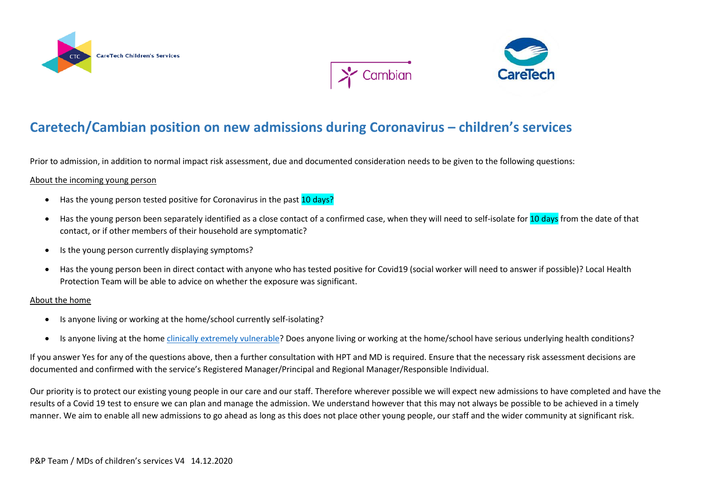





## **Caretech/Cambian position on new admissions during Coronavirus – children's services**

Prior to admission, in addition to normal impact risk assessment, due and documented consideration needs to be given to the following questions:

## About the incoming young person

- Has the young person tested positive for Coronavirus in the past 10 days?
- Has the young person been separately identified as a close contact of a confirmed case, when they will need to self-isolate for 10 days from the date of that contact, or if other members of their household are symptomatic?
- Is the young person currently displaying symptoms?
- Has the young person been in direct contact with anyone who has tested positive for Covid19 (social worker will need to answer if possible)? Local Health Protection Team will be able to advice on whether the exposure was significant.

## About the home

- Is anyone living or working at the home/school currently self-isolating?
- Is anyone living at the home [clinically extremely vulnerable?](https://www.gov.uk/government/publications/guidance-on-shielding-and-protecting-extremely-vulnerable-persons-from-covid-19/guidance-on-shielding-and-protecting-extremely-vulnerable-persons-from-covid-19) Does anyone living or working at the home/school have serious underlying health conditions?

If you answer Yes for any of the questions above, then a further consultation with HPT and MD is required. Ensure that the necessary risk assessment decisions are documented and confirmed with the service's Registered Manager/Principal and Regional Manager/Responsible Individual.

Our priority is to protect our existing young people in our care and our staff. Therefore wherever possible we will expect new admissions to have completed and have the results of a Covid 19 test to ensure we can plan and manage the admission. We understand however that this may not always be possible to be achieved in a timely manner. We aim to enable all new admissions to go ahead as long as this does not place other young people, our staff and the wider community at significant risk.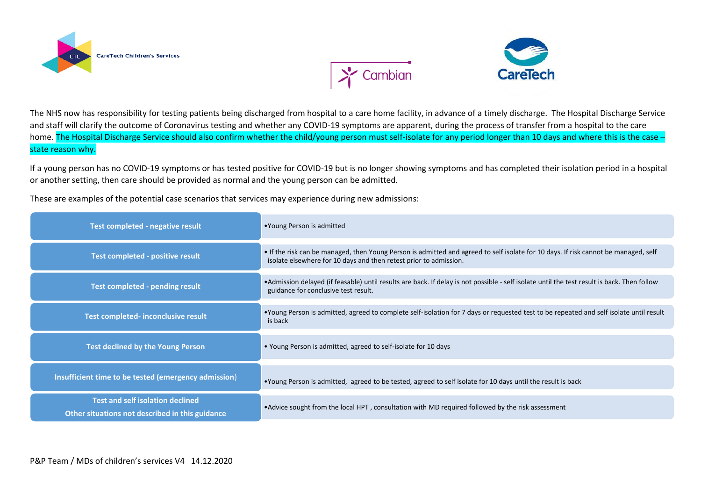

 $\sum$  Cambian



The NHS now has responsibility for testing patients being discharged from hospital to a care home facility, in advance of a timely discharge. The Hospital Discharge Service and staff will clarify the outcome of Coronavirus testing and whether any COVID-19 symptoms are apparent, during the process of transfer from a hospital to the care home. The Hospital Discharge Service should also confirm whether the child/young person must self-isolate for any period longer than 10 days and where this is the case – state reason why.

If a young person has no COVID-19 symptoms or has tested positive for COVID-19 but is no longer showing symptoms and has completed their isolation period in a hospital or another setting, then care should be provided as normal and the young person can be admitted.

These are examples of the potential case scenarios that services may experience during new admissions:

| Test completed - negative result                                                           | •Young Person is admitted                                                                                                                                                                                |
|--------------------------------------------------------------------------------------------|----------------------------------------------------------------------------------------------------------------------------------------------------------------------------------------------------------|
| Test completed - positive result                                                           | • If the risk can be managed, then Young Person is admitted and agreed to self isolate for 10 days. If risk cannot be managed, self<br>isolate elsewhere for 10 days and then retest prior to admission. |
| <b>Test completed - pending result</b>                                                     | •Admission delayed (if feasable) until results are back. If delay is not possible - self isolate until the test result is back. Then follow<br>guidance for conclusive test result.                      |
| Test completed- inconclusive result                                                        | •Young Person is admitted, agreed to complete self-isolation for 7 days or requested test to be repeated and self isolate until result<br>is back                                                        |
| <b>Test declined by the Young Person</b>                                                   | • Young Person is admitted, agreed to self-isolate for 10 days                                                                                                                                           |
| Insufficient time to be tested (emergency admission)                                       | •Young Person is admitted, agreed to be tested, agreed to self isolate for 10 days until the result is back                                                                                              |
| <b>Test and self isolation declined</b><br>Other situations not described in this guidance | • Advice sought from the local HPT, consultation with MD required followed by the risk assessment                                                                                                        |